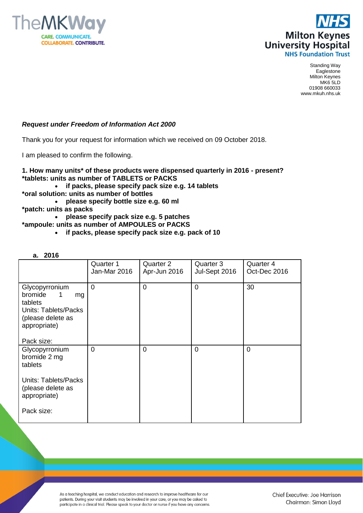



Standing Way Eaglestone Milton Keynes MK6 5LD 01908 660033 www.mkuh.nhs.uk

## *Request under Freedom of Information Act 2000*

Thank you for your request for information which we received on 09 October 2018.

I am pleased to confirm the following.

**1. How many units\* of these products were dispensed quarterly in 2016 - present? \*tablets: units as number of TABLETS or PACKS**

- **if packs, please specify pack size e.g. 14 tablets**
- **\*oral solution: units as number of bottles**
- **please specify bottle size e.g. 60 ml**
- **\*patch: units as packs**
	- **please specify pack size e.g. 5 patches**
- **\*ampoule: units as number of AMPOULES or PACKS**
	- **if packs, please specify pack size e.g. pack of 10**

| α. | 2016 |
|----|------|
|----|------|

|                                                                                                                              | Quarter 1<br>Jan-Mar 2016 | Quarter 2<br>Apr-Jun 2016 | Quarter 3<br>Jul-Sept 2016 | Quarter 4<br>Oct-Dec 2016 |
|------------------------------------------------------------------------------------------------------------------------------|---------------------------|---------------------------|----------------------------|---------------------------|
| Glycopyrronium<br>bromide<br>mg<br>tablets<br><b>Units: Tablets/Packs</b><br>(please delete as<br>appropriate)<br>Pack size: | $\overline{0}$            | $\overline{0}$            | 0                          | 30                        |
| Glycopyrronium<br>bromide 2 mg<br>tablets<br><b>Units: Tablets/Packs</b><br>(please delete as                                | $\Omega$                  | $\Omega$                  | $\Omega$                   | $\Omega$                  |
| appropriate)<br>Pack size:                                                                                                   |                           |                           |                            |                           |

As a teaching hospital, we conduct education and research to improve healthcare for our patients. During your visit students may be involved in your care, or you may be asked to participate in a clinical trial. Please speak to your doctor or nurse if you have any concerns.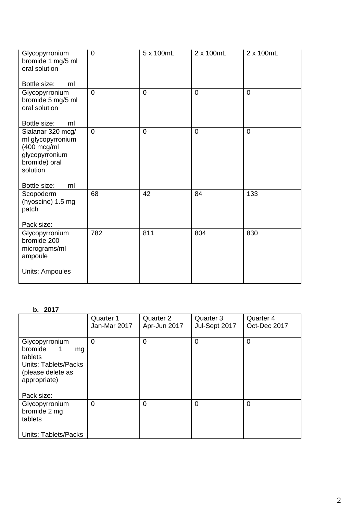| Glycopyrronium<br>bromide 1 mg/5 ml<br>oral solution<br>Bottle size:<br>ml                                                            | $\mathbf 0$    | 5 x 100mL      | 2 x 100mL      | 2 x 100mL      |
|---------------------------------------------------------------------------------------------------------------------------------------|----------------|----------------|----------------|----------------|
| Glycopyrronium<br>bromide 5 mg/5 ml<br>oral solution<br>Bottle size:<br>ml                                                            | $\overline{0}$ | $\overline{0}$ | $\overline{0}$ | $\overline{0}$ |
| Sialanar 320 mcg/<br>ml glycopyrronium<br>$(400 \text{ mcg/ml})$<br>glycopyrronium<br>bromide) oral<br>solution<br>Bottle size:<br>ml | $\overline{0}$ | $\overline{0}$ | $\overline{0}$ | $\overline{0}$ |
| Scopoderm<br>(hyoscine) 1.5 mg<br>patch<br>Pack size:                                                                                 | 68             | 42             | 84             | 133            |
| Glycopyrronium<br>bromide 200<br>micrograms/ml<br>ampoule<br><b>Units: Ampoules</b>                                                   | 782            | 811            | 804            | 830            |

## **b. 2017**

|                                                                                                                            | Quarter 1<br>Jan-Mar 2017 | Quarter 2<br>Apr-Jun 2017 | Quarter 3<br>Jul-Sept 2017 | Quarter 4<br>Oct-Dec 2017 |
|----------------------------------------------------------------------------------------------------------------------------|---------------------------|---------------------------|----------------------------|---------------------------|
| Glycopyrronium<br>bromide<br>1<br>mg<br>tablets<br>Units: Tablets/Packs<br>(please delete as<br>appropriate)<br>Pack size: | $\mathbf 0$               | 0                         | 0                          | $\Omega$                  |
| Glycopyrronium<br>bromide 2 mg<br>tablets<br><b>Units: Tablets/Packs</b>                                                   | $\overline{0}$            | 0                         | 0                          | $\Omega$                  |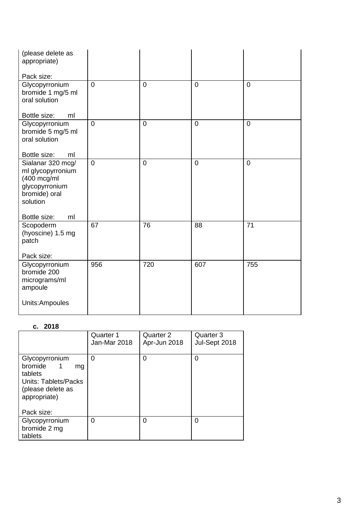| (please delete as<br>appropriate)<br>Pack size:                                                                                       |                |                |                |                |
|---------------------------------------------------------------------------------------------------------------------------------------|----------------|----------------|----------------|----------------|
| Glycopyrronium<br>bromide 1 mg/5 ml<br>oral solution<br>ml                                                                            | $\overline{0}$ | $\mathbf 0$    | $\overline{0}$ | $\overline{0}$ |
| Bottle size:<br>Glycopyrronium<br>bromide 5 mg/5 ml<br>oral solution<br>Bottle size:<br>ml                                            | $\overline{0}$ | $\overline{0}$ | $\overline{0}$ | $\overline{0}$ |
| Sialanar 320 mcg/<br>ml glycopyrronium<br>$(400 \text{ mcg/ml})$<br>glycopyrronium<br>bromide) oral<br>solution<br>Bottle size:<br>ml | $\overline{0}$ | $\mathbf 0$    | $\overline{0}$ | $\overline{0}$ |
| Scopoderm<br>(hyoscine) 1.5 mg<br>patch<br>Pack size:                                                                                 | 67             | 76             | 88             | 71             |
| Glycopyrronium<br>bromide 200<br>micrograms/ml<br>ampoule                                                                             | 956            | 720            | 607            | 755            |
| Units:Ampoules                                                                                                                        |                |                |                |                |

## **c. 2018**

|                                                                                                                | Quarter 1<br>Jan-Mar 2018 | Quarter 2<br>Apr-Jun 2018 | Quarter 3<br>Jul-Sept 2018 |
|----------------------------------------------------------------------------------------------------------------|---------------------------|---------------------------|----------------------------|
| Glycopyrronium<br>bromide<br>ma<br>tablets<br><b>Units: Tablets/Packs</b><br>(please delete as<br>appropriate) | 0                         | 0                         | 0                          |
| Pack size:                                                                                                     |                           |                           |                            |
| Glycopyrronium<br>bromide 2 mg<br>tablets                                                                      | 0                         | 0                         | 0                          |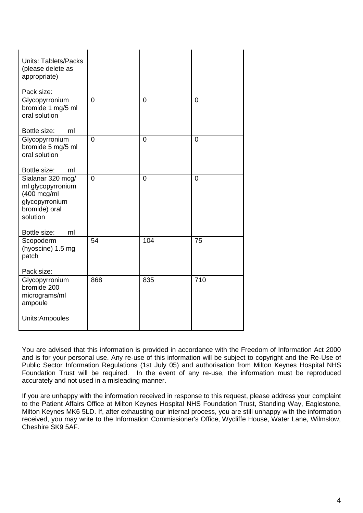| <b>Units: Tablets/Packs</b><br>(please delete as<br>appropriate)                                                |                |                |                  |
|-----------------------------------------------------------------------------------------------------------------|----------------|----------------|------------------|
| Pack size:                                                                                                      |                |                |                  |
| Glycopyrronium<br>bromide 1 mg/5 ml<br>oral solution                                                            | $\overline{0}$ | $\overline{0}$ | $\overline{0}$   |
| Bottle size:<br>ml                                                                                              |                |                |                  |
| Glycopyrronium<br>bromide 5 mg/5 ml<br>oral solution                                                            | $\overline{0}$ | $\overline{0}$ | $\overline{0}$   |
| Bottle size:<br>ml                                                                                              |                |                |                  |
| Sialanar 320 mcg/<br>ml glycopyrronium<br>$(400 \text{ mcg/ml})$<br>glycopyrronium<br>bromide) oral<br>solution | $\overline{0}$ | $\overline{0}$ | $\overline{0}$   |
| Bottle size:<br>ml                                                                                              |                |                |                  |
| Scopoderm<br>(hyoscine) 1.5 mg<br>patch<br>Pack size:                                                           | 54             | 104            | 75               |
| Glycopyrronium                                                                                                  | 868            | 835            | $\overline{710}$ |
| bromide 200<br>micrograms/ml<br>ampoule<br>Units:Ampoules                                                       |                |                |                  |
|                                                                                                                 |                |                |                  |

You are advised that this information is provided in accordance with the Freedom of Information Act 2000 and is for your personal use. Any re-use of this information will be subject to copyright and the Re-Use of Public Sector Information Regulations (1st July 05) and authorisation from Milton Keynes Hospital NHS Foundation Trust will be required. In the event of any re-use, the information must be reproduced accurately and not used in a misleading manner.

If you are unhappy with the information received in response to this request, please address your complaint to the Patient Affairs Office at Milton Keynes Hospital NHS Foundation Trust, Standing Way, Eaglestone, Milton Keynes MK6 5LD. If, after exhausting our internal process, you are still unhappy with the information received, you may write to the Information Commissioner's Office, Wycliffe House, Water Lane, Wilmslow, Cheshire SK9 5AF.